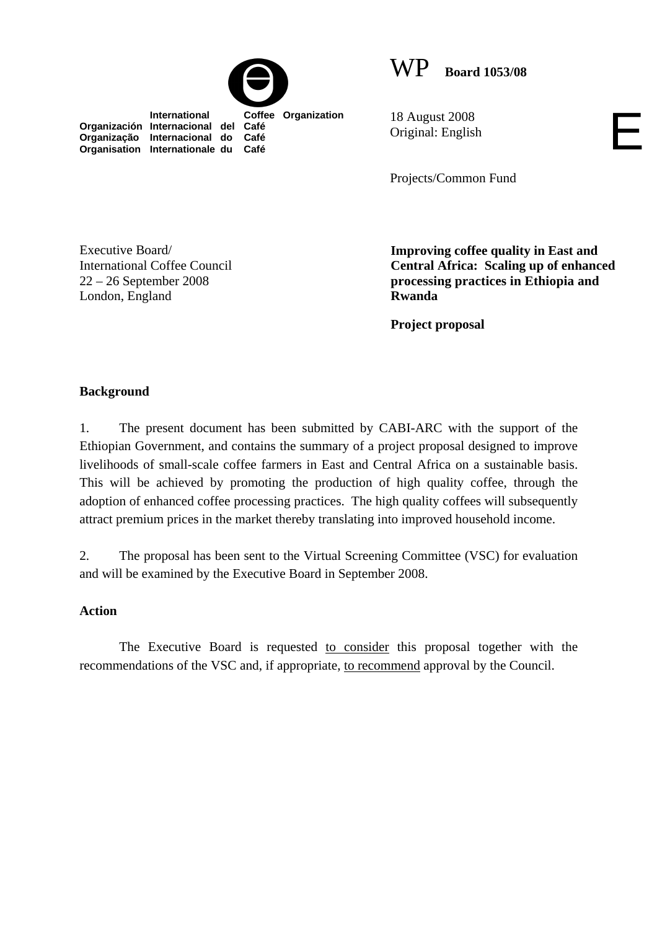



**International Coffee Organization Organización Internacional del Café Organização Internacional do Café Organisation Internationale du Café**

18 August 2008 Original: English

Projects/Common Fund

Executive Board/ International Coffee Council 22 – 26 September 2008 London, England

**Improving coffee quality in East and Central Africa: Scaling up of enhanced processing practices in Ethiopia and Rwanda** 

E

**Project proposal** 

## **Background**

1. The present document has been submitted by CABI-ARC with the support of the Ethiopian Government, and contains the summary of a project proposal designed to improve livelihoods of small-scale coffee farmers in East and Central Africa on a sustainable basis. This will be achieved by promoting the production of high quality coffee, through the adoption of enhanced coffee processing practices. The high quality coffees will subsequently attract premium prices in the market thereby translating into improved household income.

2. The proposal has been sent to the Virtual Screening Committee (VSC) for evaluation and will be examined by the Executive Board in September 2008.

### **Action**

The Executive Board is requested to consider this proposal together with the recommendations of the VSC and, if appropriate, to recommend approval by the Council.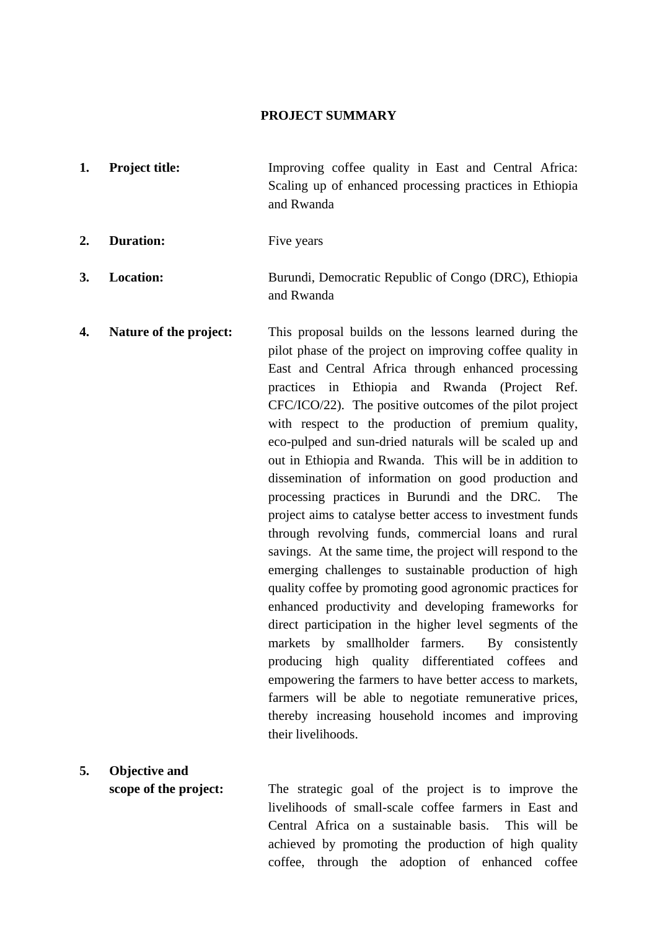#### **PROJECT SUMMARY**

- **1. Project title:** Improving coffee quality in East and Central Africa: Scaling up of enhanced processing practices in Ethiopia and Rwanda
- 2. Duration: Five years

**5. Objective and** 

- **3.** Location: Burundi, Democratic Republic of Congo (DRC), Ethiopia and Rwanda
- **4. Nature of the project:** This proposal builds on the lessons learned during the pilot phase of the project on improving coffee quality in East and Central Africa through enhanced processing practices in Ethiopia and Rwanda (Project Ref. CFC/ICO/22). The positive outcomes of the pilot project with respect to the production of premium quality, eco-pulped and sun-dried naturals will be scaled up and out in Ethiopia and Rwanda. This will be in addition to dissemination of information on good production and processing practices in Burundi and the DRC. The project aims to catalyse better access to investment funds through revolving funds, commercial loans and rural savings. At the same time, the project will respond to the emerging challenges to sustainable production of high quality coffee by promoting good agronomic practices for enhanced productivity and developing frameworks for direct participation in the higher level segments of the markets by smallholder farmers. By consistently producing high quality differentiated coffees and empowering the farmers to have better access to markets, farmers will be able to negotiate remunerative prices, thereby increasing household incomes and improving their livelihoods.

# **scope of the project:** The strategic goal of the project is to improve the livelihoods of small-scale coffee farmers in East and Central Africa on a sustainable basis. This will be achieved by promoting the production of high quality coffee, through the adoption of enhanced coffee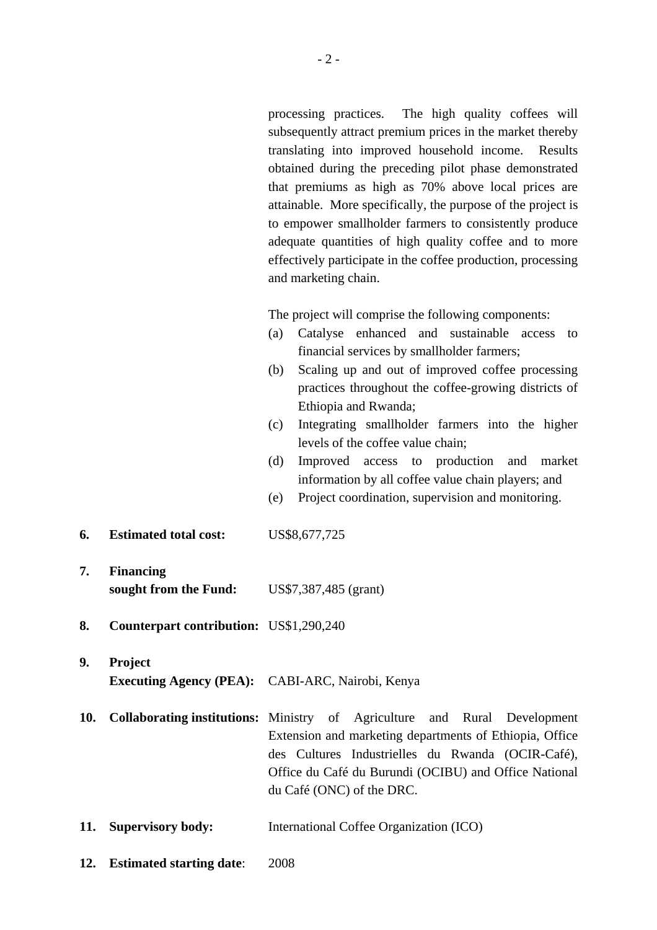processing practices. The high quality coffees will subsequently attract premium prices in the market thereby translating into improved household income. Results obtained during the preceding pilot phase demonstrated that premiums as high as 70% above local prices are attainable. More specifically, the purpose of the project is to empower smallholder farmers to consistently produce adequate quantities of high quality coffee and to more effectively participate in the coffee production, processing and marketing chain.

The project will comprise the following components:

- (a) Catalyse enhanced and sustainable access to financial services by smallholder farmers;
- (b) Scaling up and out of improved coffee processing practices throughout the coffee-growing districts of Ethiopia and Rwanda;
- (c) Integrating smallholder farmers into the higher levels of the coffee value chain;
- (d) Improved access to production and market information by all coffee value chain players; and
- (e) Project coordination, supervision and monitoring.
- **6. Estimated total cost:** US\$8,677,725
- **7. Financing sought from the Fund:** US\$7,387,485 (grant)
- **8. Counterpart contribution:** US\$1,290,240

# **9. Project Executing Agency (PEA):** CABI-ARC, Nairobi, Kenya

- **10. Collaborating institutions:** Ministry of Agriculture and Rural Development Extension and marketing departments of Ethiopia, Office des Cultures Industrielles du Rwanda (OCIR-Café), Office du Café du Burundi (OCIBU) and Office National du Café (ONC) of the DRC.
- **11. Supervisory body:** International Coffee Organization (ICO)
- **12. Estimated starting date**: 2008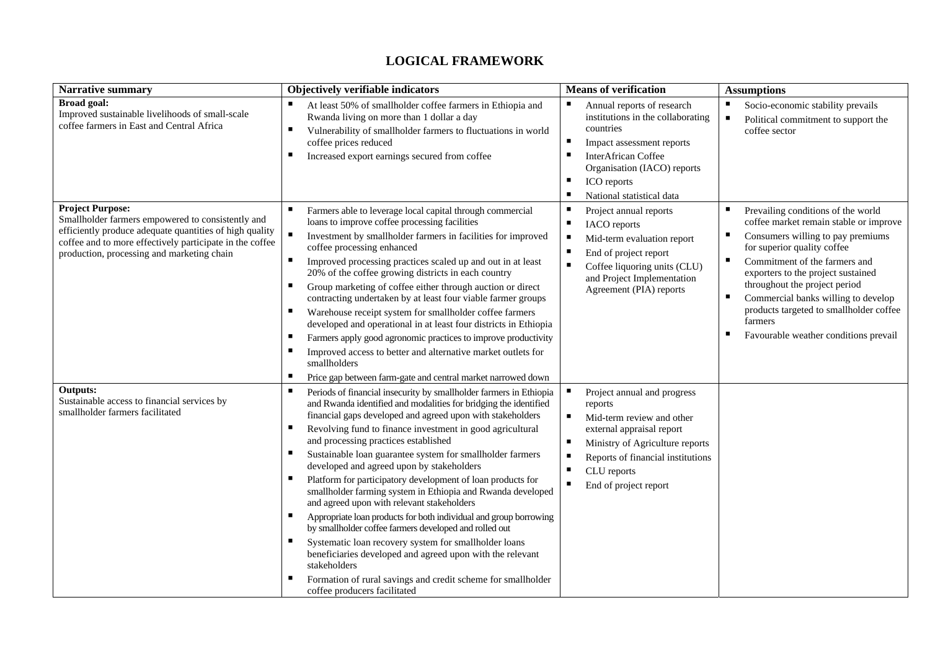#### **LOGICAL FRAMEWORK**

| <b>Narrative summary</b>                                                                                                                                                                                                                          | Objectively verifiable indicators                                                                                                                                                                                                                                                                                                                                                                                                                                                                                                                                                                                                                                                                                                                                                                                                                                                                                                                                    | <b>Means of verification</b>                                                                                                                                                                                                                           | <b>Assumptions</b>                                                                                                                                                                                                                                                                                                                                                                                       |
|---------------------------------------------------------------------------------------------------------------------------------------------------------------------------------------------------------------------------------------------------|----------------------------------------------------------------------------------------------------------------------------------------------------------------------------------------------------------------------------------------------------------------------------------------------------------------------------------------------------------------------------------------------------------------------------------------------------------------------------------------------------------------------------------------------------------------------------------------------------------------------------------------------------------------------------------------------------------------------------------------------------------------------------------------------------------------------------------------------------------------------------------------------------------------------------------------------------------------------|--------------------------------------------------------------------------------------------------------------------------------------------------------------------------------------------------------------------------------------------------------|----------------------------------------------------------------------------------------------------------------------------------------------------------------------------------------------------------------------------------------------------------------------------------------------------------------------------------------------------------------------------------------------------------|
| <b>Broad goal:</b><br>Improved sustainable livelihoods of small-scale<br>coffee farmers in East and Central Africa                                                                                                                                | At least 50% of smallholder coffee farmers in Ethiopia and<br>Rwanda living on more than 1 dollar a day<br>Vulnerability of smallholder farmers to fluctuations in world<br>л<br>coffee prices reduced<br>Increased export earnings secured from coffee                                                                                                                                                                                                                                                                                                                                                                                                                                                                                                                                                                                                                                                                                                              | ш<br>Annual reports of research<br>institutions in the collaborating<br>countries<br>Impact assessment reports<br><b>InterAfrican Coffee</b><br>Organisation (IACO) reports<br>ICO reports<br>National statistical data                                | Socio-economic stability prevails<br>$\blacksquare$<br>Political commitment to support the<br>coffee sector                                                                                                                                                                                                                                                                                              |
| <b>Project Purpose:</b><br>Smallholder farmers empowered to consistently and<br>efficiently produce adequate quantities of high quality<br>coffee and to more effectively participate in the coffee<br>production, processing and marketing chain | п<br>Farmers able to leverage local capital through commercial<br>loans to improve coffee processing facilities<br>$\blacksquare$<br>Investment by smallholder farmers in facilities for improved<br>coffee processing enhanced<br>Improved processing practices scaled up and out in at least<br>20% of the coffee growing districts in each country<br>Group marketing of coffee either through auction or direct<br>contracting undertaken by at least four viable farmer groups<br>Warehouse receipt system for smallholder coffee farmers<br>ш<br>developed and operational in at least four districts in Ethiopia<br>Farmers apply good agronomic practices to improve productivity<br>Improved access to better and alternative market outlets for<br>smallholders<br>Price gap between farm-gate and central market narrowed down                                                                                                                            | п<br>Project annual reports<br>п<br><b>IACO</b> reports<br>п<br>Mid-term evaluation report<br>End of project report<br>Coffee liquoring units (CLU)<br>п<br>and Project Implementation<br>Agreement (PIA) reports                                      | Prevailing conditions of the world<br>coffee market remain stable or improve<br>Consumers willing to pay premiums<br>ш<br>for superior quality coffee<br>Commitment of the farmers and<br>exporters to the project sustained<br>throughout the project period<br>Commercial banks willing to develop<br>п<br>products targeted to smallholder coffee<br>farmers<br>Favourable weather conditions prevail |
| <b>Outputs:</b><br>Sustainable access to financial services by<br>smallholder farmers facilitated                                                                                                                                                 | Periods of financial insecurity by smallholder farmers in Ethiopia<br>and Rwanda identified and modalities for bridging the identified<br>financial gaps developed and agreed upon with stakeholders<br>Revolving fund to finance investment in good agricultural<br>and processing practices established<br>Sustainable loan guarantee system for smallholder farmers<br>developed and agreed upon by stakeholders<br>Platform for participatory development of loan products for<br>smallholder farming system in Ethiopia and Rwanda developed<br>and agreed upon with relevant stakeholders<br>Appropriate loan products for both individual and group borrowing<br>by smallholder coffee farmers developed and rolled out<br>Systematic loan recovery system for smallholder loans<br>beneficiaries developed and agreed upon with the relevant<br>stakeholders<br>Formation of rural savings and credit scheme for smallholder<br>coffee producers facilitated | Project annual and progress<br>reports<br>п<br>Mid-term review and other<br>external appraisal report<br>п<br>Ministry of Agriculture reports<br>Reports of financial institutions<br>п<br>٠<br>CLU reports<br>$\blacksquare$<br>End of project report |                                                                                                                                                                                                                                                                                                                                                                                                          |